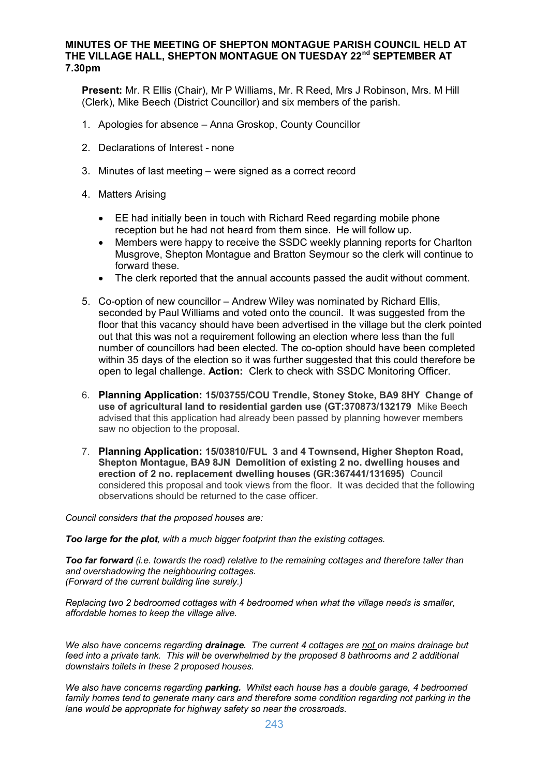## **MINUTES OF THE MEETING OF SHEPTON MONTAGUE PARISH COUNCIL HELD AT THE VILLAGE HALL, SHEPTON MONTAGUE ON TUESDAY 22nd SEPTEMBER AT 7.30pm**

**Present:** Mr. R Ellis (Chair), Mr P Williams, Mr. R Reed, Mrs J Robinson, Mrs. M Hill (Clerk), Mike Beech (District Councillor) and six members of the parish.

- 1. Apologies for absence Anna Groskop, County Councillor
- 2. Declarations of Interest none
- 3. Minutes of last meeting were signed as a correct record
- 4. Matters Arising
	- · EE had initially been in touch with Richard Reed regarding mobile phone reception but he had not heard from them since. He will follow up.
	- · Members were happy to receive the SSDC weekly planning reports for Charlton Musgrove, Shepton Montague and Bratton Seymour so the clerk will continue to forward these.
	- · The clerk reported that the annual accounts passed the audit without comment.
- 5. Co-option of new councillor Andrew Wiley was nominated by Richard Ellis, seconded by Paul Williams and voted onto the council. It was suggested from the floor that this vacancy should have been advertised in the village but the clerk pointed out that this was not a requirement following an election where less than the full number of councillors had been elected. The co-option should have been completed within 35 days of the election so it was further suggested that this could therefore be open to legal challenge. **Action:** Clerk to check with SSDC Monitoring Officer.
- 6. **Planning Application: 15/03755/COU Trendle, Stoney Stoke, BA9 8HY Change of use of agricultural land to residential garden use (GT:370873/132179** Mike Beech advised that this application had already been passed by planning however members saw no objection to the proposal.
- 7. **Planning Application: 15/03810/FUL 3 and 4 Townsend, Higher Shepton Road, Shepton Montague, BA9 8JN Demolition of existing 2 no. dwelling houses and erection of 2 no. replacement dwelling houses (GR:367441/131695)** Council considered this proposal and took views from the floor. It was decided that the following observations should be returned to the case officer.

*Council considers that the proposed houses are:*

*Too large for the plot, with a much bigger footprint than the existing cottages.*

*Too far forward (i.e. towards the road) relative to the remaining cottages and therefore taller than and overshadowing the neighbouring cottages. (Forward of the current building line surely.)*

*Replacing two 2 bedroomed cottages with 4 bedroomed when what the village needs is smaller, affordable homes to keep the village alive.*

*We also have concerns regarding drainage. The current 4 cottages are not on mains drainage but feed into a private tank. This will be overwhelmed by the proposed 8 bathrooms and 2 additional downstairs toilets in these 2 proposed houses.*

*We also have concerns regarding parking. Whilst each house has a double garage, 4 bedroomed family homes tend to generate many cars and therefore some condition regarding not parking in the lane would be appropriate for highway safety so near the crossroads.*